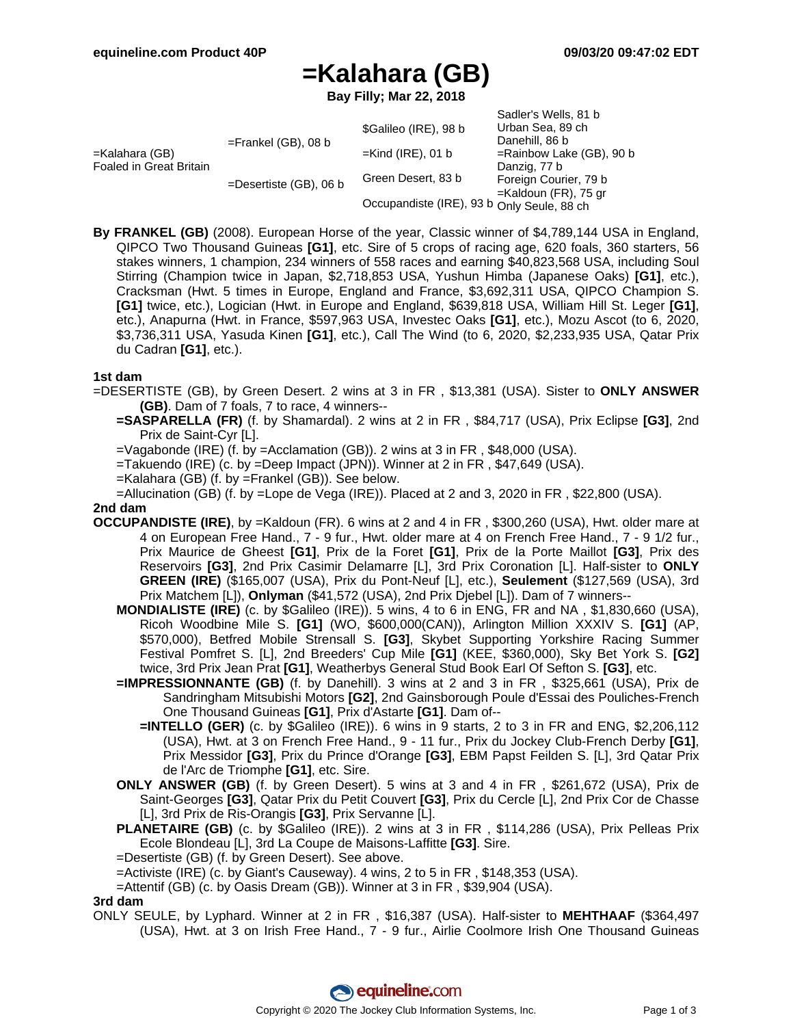Sadler's Wells, 81 b

# **=Kalahara (GB)**

**Bay Filly; Mar 22, 2018**

|                                           |                           |                                            | <b>Saulel S VVells, OI D</b> |
|-------------------------------------------|---------------------------|--------------------------------------------|------------------------------|
| =Kalahara (GB)<br>Foaled in Great Britain | $=$ Frankel (GB), 08 b    | \$Galileo (IRE), 98 b                      | Urban Sea, 89 ch             |
|                                           |                           |                                            | Danehill, 86 b               |
|                                           |                           | $=$ Kind (IRE), 01 b                       | $=$ Rainbow Lake (GB), 90 b  |
|                                           | $=$ Desertiste (GB), 06 b |                                            | Danzig, 77 b                 |
|                                           |                           | Green Desert, 83 b                         | Foreign Courier, 79 b        |
|                                           |                           |                                            | $=$ Kaldoun (FR), 75 gr      |
|                                           |                           | Occupandiste (IRE), 93 b Only Seule, 88 ch |                              |

**By FRANKEL (GB)** (2008). European Horse of the year, Classic winner of \$4,789,144 USA in England, QIPCO Two Thousand Guineas **[G1]**, etc. Sire of 5 crops of racing age, 620 foals, 360 starters, 56 stakes winners, 1 champion, 234 winners of 558 races and earning \$40,823,568 USA, including Soul Stirring (Champion twice in Japan, \$2,718,853 USA, Yushun Himba (Japanese Oaks) **[G1]**, etc.), Cracksman (Hwt. 5 times in Europe, England and France, \$3,692,311 USA, QIPCO Champion S. **[G1]** twice, etc.), Logician (Hwt. in Europe and England, \$639,818 USA, William Hill St. Leger **[G1]**, etc.), Anapurna (Hwt. in France, \$597,963 USA, Investec Oaks **[G1]**, etc.), Mozu Ascot (to 6, 2020, \$3,736,311 USA, Yasuda Kinen **[G1]**, etc.), Call The Wind (to 6, 2020, \$2,233,935 USA, Qatar Prix du Cadran **[G1]**, etc.).

#### **1st dam**

=DESERTISTE (GB), by Green Desert. 2 wins at 3 in FR , \$13,381 (USA). Sister to **ONLY ANSWER (GB)**. Dam of 7 foals, 7 to race, 4 winners--

- **=SASPARELLA (FR)** (f. by Shamardal). 2 wins at 2 in FR , \$84,717 (USA), Prix Eclipse **[G3]**, 2nd Prix de Saint-Cyr [L].
- =Vagabonde (IRE) (f. by =Acclamation (GB)). 2 wins at 3 in FR , \$48,000 (USA).
- =Takuendo (IRE) (c. by =Deep Impact (JPN)). Winner at 2 in FR , \$47,649 (USA).
- =Kalahara (GB) (f. by =Frankel (GB)). See below.
- =Allucination (GB) (f. by =Lope de Vega (IRE)). Placed at 2 and 3, 2020 in FR , \$22,800 (USA).

#### **2nd dam**

- **OCCUPANDISTE (IRE)**, by =Kaldoun (FR). 6 wins at 2 and 4 in FR , \$300,260 (USA), Hwt. older mare at 4 on European Free Hand., 7 - 9 fur., Hwt. older mare at 4 on French Free Hand., 7 - 9 1/2 fur., Prix Maurice de Gheest **[G1]**, Prix de la Foret **[G1]**, Prix de la Porte Maillot **[G3]**, Prix des Reservoirs **[G3]**, 2nd Prix Casimir Delamarre [L], 3rd Prix Coronation [L]. Half-sister to **ONLY GREEN (IRE)** (\$165,007 (USA), Prix du Pont-Neuf [L], etc.), **Seulement** (\$127,569 (USA), 3rd Prix Matchem [L]), **Onlyman** (\$41,572 (USA), 2nd Prix Djebel [L]). Dam of 7 winners--
	- **MONDIALISTE (IRE)** (c. by \$Galileo (IRE)). 5 wins, 4 to 6 in ENG, FR and NA , \$1,830,660 (USA), Ricoh Woodbine Mile S. **[G1]** (WO, \$600,000(CAN)), Arlington Million XXXIV S. **[G1]** (AP, \$570,000), Betfred Mobile Strensall S. **[G3]**, Skybet Supporting Yorkshire Racing Summer Festival Pomfret S. [L], 2nd Breeders' Cup Mile **[G1]** (KEE, \$360,000), Sky Bet York S. **[G2]** twice, 3rd Prix Jean Prat **[G1]**, Weatherbys General Stud Book Earl Of Sefton S. **[G3]**, etc.
	- **=IMPRESSIONNANTE (GB)** (f. by Danehill). 3 wins at 2 and 3 in FR , \$325,661 (USA), Prix de Sandringham Mitsubishi Motors **[G2]**, 2nd Gainsborough Poule d'Essai des Pouliches-French One Thousand Guineas **[G1]**, Prix d'Astarte **[G1]**. Dam of--
		- **=INTELLO (GER)** (c. by \$Galileo (IRE)). 6 wins in 9 starts, 2 to 3 in FR and ENG, \$2,206,112 (USA), Hwt. at 3 on French Free Hand., 9 - 11 fur., Prix du Jockey Club-French Derby **[G1]**, Prix Messidor **[G3]**, Prix du Prince d'Orange **[G3]**, EBM Papst Feilden S. [L], 3rd Qatar Prix de l'Arc de Triomphe **[G1]**, etc. Sire.
	- **ONLY ANSWER (GB)** (f. by Green Desert). 5 wins at 3 and 4 in FR , \$261,672 (USA), Prix de Saint-Georges **[G3]**, Qatar Prix du Petit Couvert **[G3]**, Prix du Cercle [L], 2nd Prix Cor de Chasse [L], 3rd Prix de Ris-Orangis **[G3]**, Prix Servanne [L].
	- **PLANETAIRE (GB)** (c. by \$Galileo (IRE)). 2 wins at 3 in FR , \$114,286 (USA), Prix Pelleas Prix Ecole Blondeau [L], 3rd La Coupe de Maisons-Laffitte **[G3]**. Sire.
	- =Desertiste (GB) (f. by Green Desert). See above.
	- =Activiste (IRE) (c. by Giant's Causeway). 4 wins, 2 to 5 in FR , \$148,353 (USA).
	- =Attentif (GB) (c. by Oasis Dream (GB)). Winner at 3 in FR , \$39,904 (USA).

#### **3rd dam**

ONLY SEULE, by Lyphard. Winner at 2 in FR , \$16,387 (USA). Half-sister to **MEHTHAAF** (\$364,497 (USA), Hwt. at 3 on Irish Free Hand., 7 - 9 fur., Airlie Coolmore Irish One Thousand Guineas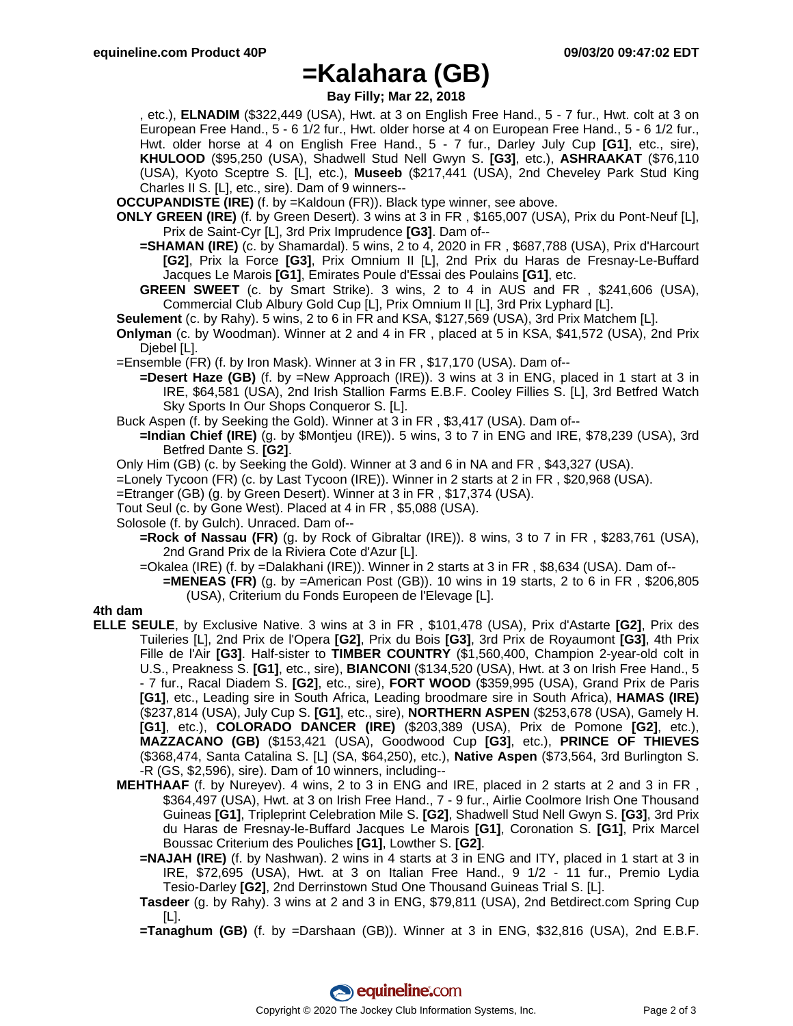### **=Kalahara (GB)**

**Bay Filly; Mar 22, 2018**

, etc.), **ELNADIM** (\$322,449 (USA), Hwt. at 3 on English Free Hand., 5 - 7 fur., Hwt. colt at 3 on European Free Hand., 5 - 6 1/2 fur., Hwt. older horse at 4 on European Free Hand., 5 - 6 1/2 fur., Hwt. older horse at 4 on English Free Hand., 5 - 7 fur., Darley July Cup **[G1]**, etc., sire), **KHULOOD** (\$95,250 (USA), Shadwell Stud Nell Gwyn S. **[G3]**, etc.), **ASHRAAKAT** (\$76,110 (USA), Kyoto Sceptre S. [L], etc.), **Museeb** (\$217,441 (USA), 2nd Cheveley Park Stud King Charles II S. [L], etc., sire). Dam of 9 winners--

**OCCUPANDISTE (IRE)** (f. by =Kaldoun (FR)). Black type winner, see above.

- **ONLY GREEN (IRE)** (f. by Green Desert). 3 wins at 3 in FR , \$165,007 (USA), Prix du Pont-Neuf [L], Prix de Saint-Cyr [L], 3rd Prix Imprudence **[G3]**. Dam of--
	- **=SHAMAN (IRE)** (c. by Shamardal). 5 wins, 2 to 4, 2020 in FR , \$687,788 (USA), Prix d'Harcourt **[G2]**, Prix la Force **[G3]**, Prix Omnium II [L], 2nd Prix du Haras de Fresnay-Le-Buffard Jacques Le Marois **[G1]**, Emirates Poule d'Essai des Poulains **[G1]**, etc.
	- **GREEN SWEET** (c. by Smart Strike). 3 wins, 2 to 4 in AUS and FR , \$241,606 (USA), Commercial Club Albury Gold Cup [L], Prix Omnium II [L], 3rd Prix Lyphard [L].
- **Seulement** (c. by Rahy). 5 wins, 2 to 6 in FR and KSA, \$127,569 (USA), 3rd Prix Matchem [L].
- **Onlyman** (c. by Woodman). Winner at 2 and 4 in FR , placed at 5 in KSA, \$41,572 (USA), 2nd Prix Djebel [L].
- =Ensemble (FR) (f. by Iron Mask). Winner at 3 in FR , \$17,170 (USA). Dam of--
	- **=Desert Haze (GB)** (f. by =New Approach (IRE)). 3 wins at 3 in ENG, placed in 1 start at 3 in IRE, \$64,581 (USA), 2nd Irish Stallion Farms E.B.F. Cooley Fillies S. [L], 3rd Betfred Watch Sky Sports In Our Shops Conqueror S. [L].
- Buck Aspen (f. by Seeking the Gold). Winner at 3 in FR , \$3,417 (USA). Dam of--
- **=Indian Chief (IRE)** (g. by \$Montjeu (IRE)). 5 wins, 3 to 7 in ENG and IRE, \$78,239 (USA), 3rd Betfred Dante S. **[G2]**.
- Only Him (GB) (c. by Seeking the Gold). Winner at 3 and 6 in NA and FR , \$43,327 (USA).
- =Lonely Tycoon (FR) (c. by Last Tycoon (IRE)). Winner in 2 starts at 2 in FR , \$20,968 (USA).
- =Etranger (GB) (g. by Green Desert). Winner at 3 in FR , \$17,374 (USA).
- Tout Seul (c. by Gone West). Placed at 4 in FR , \$5,088 (USA).
- Solosole (f. by Gulch). Unraced. Dam of--
	- **=Rock of Nassau (FR)** (g. by Rock of Gibraltar (IRE)). 8 wins, 3 to 7 in FR , \$283,761 (USA), 2nd Grand Prix de la Riviera Cote d'Azur [L].
	- =Okalea (IRE) (f. by =Dalakhani (IRE)). Winner in 2 starts at 3 in FR , \$8,634 (USA). Dam of--
		- **=MENEAS (FR)** (g. by =American Post (GB)). 10 wins in 19 starts, 2 to 6 in FR , \$206,805 (USA), Criterium du Fonds Europeen de l'Elevage [L].

#### **4th dam**

- **ELLE SEULE**, by Exclusive Native. 3 wins at 3 in FR , \$101,478 (USA), Prix d'Astarte **[G2]**, Prix des Tuileries [L], 2nd Prix de l'Opera **[G2]**, Prix du Bois **[G3]**, 3rd Prix de Royaumont **[G3]**, 4th Prix Fille de l'Air **[G3]**. Half-sister to **TIMBER COUNTRY** (\$1,560,400, Champion 2-year-old colt in U.S., Preakness S. **[G1]**, etc., sire), **BIANCONI** (\$134,520 (USA), Hwt. at 3 on Irish Free Hand., 5 - 7 fur., Racal Diadem S. **[G2]**, etc., sire), **FORT WOOD** (\$359,995 (USA), Grand Prix de Paris **[G1]**, etc., Leading sire in South Africa, Leading broodmare sire in South Africa), **HAMAS (IRE)** (\$237,814 (USA), July Cup S. **[G1]**, etc., sire), **NORTHERN ASPEN** (\$253,678 (USA), Gamely H. **[G1]**, etc.), **COLORADO DANCER (IRE)** (\$203,389 (USA), Prix de Pomone **[G2]**, etc.), **MAZZACANO (GB)** (\$153,421 (USA), Goodwood Cup **[G3]**, etc.), **PRINCE OF THIEVES** (\$368,474, Santa Catalina S. [L] (SA, \$64,250), etc.), **Native Aspen** (\$73,564, 3rd Burlington S. -R (GS, \$2,596), sire). Dam of 10 winners, including--
	- **MEHTHAAF** (f. by Nureyev). 4 wins, 2 to 3 in ENG and IRE, placed in 2 starts at 2 and 3 in FR , \$364,497 (USA), Hwt. at 3 on Irish Free Hand., 7 - 9 fur., Airlie Coolmore Irish One Thousand Guineas **[G1]**, Tripleprint Celebration Mile S. **[G2]**, Shadwell Stud Nell Gwyn S. **[G3]**, 3rd Prix du Haras de Fresnay-le-Buffard Jacques Le Marois **[G1]**, Coronation S. **[G1]**, Prix Marcel Boussac Criterium des Pouliches **[G1]**, Lowther S. **[G2]**.
		- **=NAJAH (IRE)** (f. by Nashwan). 2 wins in 4 starts at 3 in ENG and ITY, placed in 1 start at 3 in IRE, \$72,695 (USA), Hwt. at 3 on Italian Free Hand., 9 1/2 - 11 fur., Premio Lydia Tesio-Darley **[G2]**, 2nd Derrinstown Stud One Thousand Guineas Trial S. [L].
		- **Tasdeer** (g. by Rahy). 3 wins at 2 and 3 in ENG, \$79,811 (USA), 2nd Betdirect.com Spring Cup  $[LL]$ .
		- **=Tanaghum (GB)** (f. by =Darshaan (GB)). Winner at 3 in ENG, \$32,816 (USA), 2nd E.B.F.